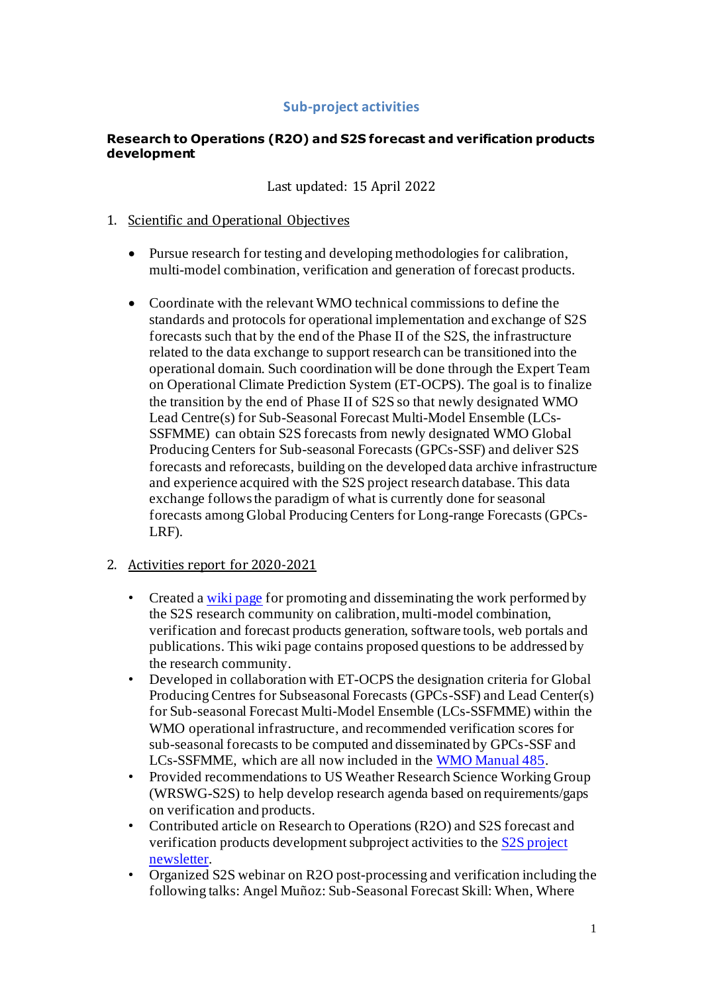# **Sub-project activities**

### **Research to Operations (R2O) and S2S forecast and verification products development**

Last updated: 15 April 2022

### 1. Scientific and Operational Objectives

- Pursue research for testing and developing methodologies for calibration, multi-model combination, verification and generation of forecast products.
- Coordinate with the relevant WMO technical commissions to define the standards and protocols for operational implementation and exchange of S2S forecasts such that by the end of the Phase II of the S2S, the infrastructure related to the data exchange to support research can be transitioned into the operational domain. Such coordination will be done through the Expert Team on Operational Climate Prediction System (ET-OCPS). The goal is to finalize the transition by the end of Phase II of S2S so that newly designated WMO Lead Centre(s) for Sub-Seasonal Forecast Multi-Model Ensemble (LCs-SSFMME) can obtain S2S forecasts from newly designated WMO Global Producing Centers for Sub-seasonal Forecasts (GPCs-SSF) and deliver S2S forecasts and reforecasts, building on the developed data archive infrastructure and experience acquired with the S2S project research database. This data exchange followsthe paradigm of what is currently done for seasonal forecasts among Global Producing Centers for Long-range Forecasts (GPCs-LRF).

# 2. Activities report for 2020-2021

- Created [a wiki page](http://s2sprediction.net/xwiki/bin/view/dtbs/R2O) for promoting and disseminating the work performed by the S2S research community on calibration, multi-model combination, verification and forecast products generation, software tools, web portals and publications. This wiki page contains proposed questions to be addressed by the research community.
- Developed in collaboration with ET-OCPS the designation criteria for Global Producing Centres for Subseasonal Forecasts (GPCs-SSF) and Lead Center(s) for Sub-seasonal Forecast Multi-Model Ensemble (LCs-SSFMME) within the WMO operational infrastructure, and recommended verification scores for sub-seasonal forecasts to be computed and disseminated by GPCs-SSF and LCs-SSFMME, which are all now included in th[e WMO Manual 485](https://library.wmo.int/vig_num_norights.php?explnum_id=11050).
- Provided recommendations to US Weather Research Science Working Group (WRSWG-S2S) to help develop research agenda based on requirements/gaps on verification and products.
- Contributed article on Research to Operations (R2O) and S2S forecast and verification products development subproject activities to th[e S2S project](http://s2sprediction.net/file/newsletter/S2S_Newsletter14_July_2020.pdf)  [newsletter.](http://s2sprediction.net/file/newsletter/S2S_Newsletter14_July_2020.pdf)
- Organized S2S webinar on R2O post-processing and verification including the following talks: Angel Muñoz: Sub-Seasonal Forecast Skill: When, Where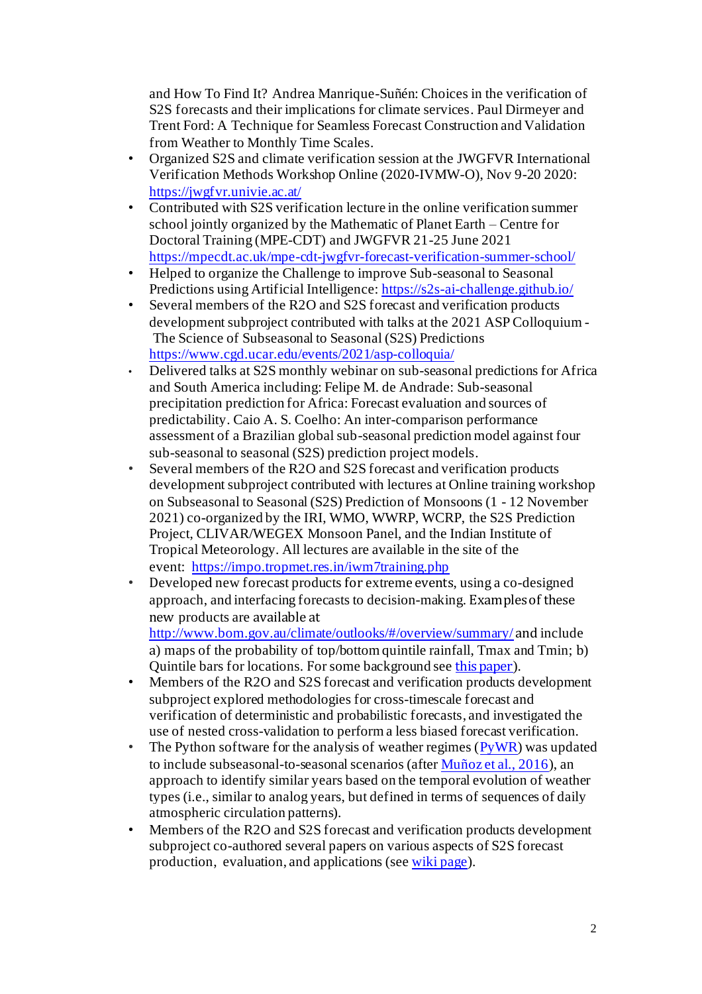and How To Find It? Andrea Manrique-Suñén: Choices in the verification of S2S forecasts and their implications for climate services. Paul Dirmeyer and Trent Ford: A Technique for Seamless Forecast Construction and Validation from Weather to Monthly Time Scales.

- Organized S2S and climate verification session at the JWGFVR International Verification Methods Workshop Online (2020-IVMW-O), Nov 9-20 2020: <https://jwgfvr.univie.ac.at/>
- Contributed with S2S verification lecture in the online verification summer school jointly organized by the Mathematic of Planet Earth – Centre for Doctoral Training (MPE-CDT) and JWGFVR 21-25 June 2021 <https://mpecdt.ac.uk/mpe-cdt-jwgfvr-forecast-verification-summer-school/>
- Helped to organize the Challenge to improve Sub-seasonal to Seasonal Predictions using Artificial Intelligence[: https://s2s-ai-challenge.github.io/](https://s2s-ai-challenge.github.io/)
- Several members of the R2O and S2S forecast and verification products development subproject contributed with talks at the 2021 ASP Colloquium - The Science of Subseasonal to Seasonal (S2S) Predictions <https://www.cgd.ucar.edu/events/2021/asp-colloquia/>
- Delivered talks at S2S monthly webinar on sub-seasonal predictions for Africa and South America including: Felipe M. de Andrade: Sub-seasonal precipitation prediction for Africa: Forecast evaluation and sources of predictability. Caio A. S. Coelho: An inter-comparison performance assessment of a Brazilian global sub-seasonal prediction model against four sub-seasonal to seasonal (S2S) prediction project models.
- Several members of the R2O and S2S forecast and verification products development subproject contributed with lectures at Online training workshop on Subseasonal to Seasonal (S2S) Prediction of Monsoons (1 - 12 November 2021) co-organized by the IRI, WMO, WWRP, WCRP, the S2S Prediction Project, CLIVAR/WEGEX Monsoon Panel, and the Indian Institute of Tropical Meteorology. All lectures are available in the site of the event: <https://impo.tropmet.res.in/iwm7training.php>
- Developed new forecast products for extreme events, using a co-designed approach, and interfacing forecasts to decision-making. Examples of these new products are available at <http://www.bom.gov.au/climate/outlooks/#/overview/summary/> and include a) maps of the probability of top/bottom quintile rainfall, Tmax and Tmin; b)

Quintile bars for locations. For some background see [this paper](https://grdc.com.au/resources-and-publications/grdc-update-papers/tab-content/grdc-update-papers/2021/05/forewarned-is-forearmed-exploring-the-value-of-new-forecast-products-from-the-bom-to-enable-more-informed-decisions-on-profit-and-risk-on-grain-farms/Paper-Hayman-and-Hudson-May-2021.pdf)).

- Members of the R2O and S2S forecast and verification products development subproject explored methodologies for cross-timescale forecast and verification of deterministic and probabilistic forecasts, and investigated the use of nested cross-validation to perform a less biased forecast verification.
- The Python software for the analysis of weather regimes  $(PyWR)$  was updated to include subseasonal-to-seasonal scenarios (afte[r Muñoz et al., 2016](https://journals.ametsoc.org/view/journals/clim/29/16/jcli-d-15-0699.1.xml)), an approach to identify similar years based on the temporal evolution of weather types (i.e., similar to analog years, but defined in terms of sequences of daily atmospheric circulation patterns).
- Members of the R2O and S2S forecast and verification products development subproject co-authored several papers on various aspects of S2S forecast production, evaluation, and applications (se[e wiki page](http://s2sprediction.net/xwiki/bin/view/dtbs/R2O)).